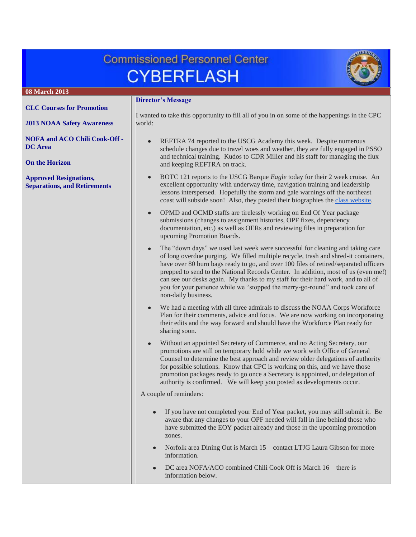# **Commissioned Personnel Center CYBERFLASH**



## **08 March 2013 Director's Message [CLC Courses for Promotion](#page-1-0)** I wanted to take this opportunity to fill all of you in on some of the happenings in the CPC **[2013 NOAA Safety Awareness](#page-2-0)** world: **[NOFA and ACO Chili Cook-Off -](#page-1-1)** REFTRA 74 reported to the USCG Academy this week. Despite numerous **[DC Area](#page-1-1)** schedule changes due to travel woes and weather, they are fully engaged in PSSO and technical training. Kudos to CDR Miller and his staff for managing the flux **[On the Horizon](#page-2-0)** and keeping REFTRA on track. BOTC 121 reports to the USCG Barque *Eagle* today for their 2 week cruise. An **[Approved Resignations,](#page-2-1)**  excellent opportunity with underway time, navigation training and leadership **[Separations, and Retirements](#page-2-1)** lessons interspersed. Hopefully the storm and gale warnings off the northeast coast will subside soon! Also, they posted their biographies the [class website.](http://www.noaacorps.noaa.gov/botc/botc121/index.html) OPMD and OCMD staffs are tirelessly working on End Of Year package submissions (changes to assignment histories, OPF fixes, dependency documentation, etc.) as well as OERs and reviewing files in preparation for upcoming Promotion Boards. The "down days" we used last week were successful for cleaning and taking care of long overdue purging. We filled multiple recycle, trash and shred-it containers, have over 80 burn bags ready to go, and over 100 files of retired/separated officers prepped to send to the National Records Center. In addition, most of us (even me!) can see our desks again. My thanks to my staff for their hard work, and to all of you for your patience while we "stopped the merry-go-round" and took care of non-daily business. We had a meeting with all three admirals to discuss the NOAA Corps Workforce Plan for their comments, advice and focus. We are now working on incorporating their edits and the way forward and should have the Workforce Plan ready for sharing soon. Without an appointed Secretary of Commerce, and no Acting Secretary, our promotions are still on temporary hold while we work with Office of General Counsel to determine the best approach and review older delegations of authority for possible solutions. Know that CPC is working on this, and we have those promotion packages ready to go once a Secretary is appointed, or delegation of authority is confirmed. We will keep you posted as developments occur. A couple of reminders: If you have not completed your End of Year packet, you may still submit it. Be aware that any changes to your OPF needed will fall in line behind those who have submitted the EOY packet already and those in the upcoming promotion zones. Norfolk area Dining Out is March 15 – contact LTJG Laura Gibson for more  $\bullet$ information. DC area NOFA/ACO combined Chili Cook Off is March 16 – there is information below.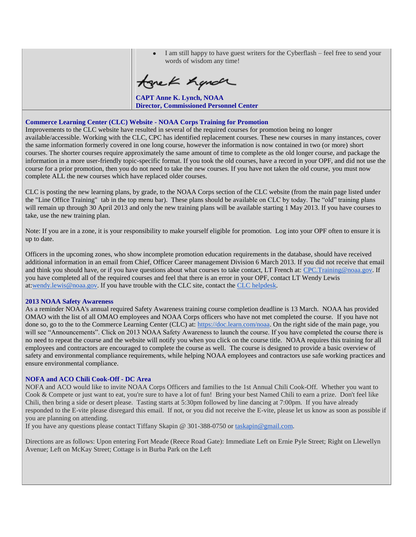| I am still happy to have guest writers for the Cyberflash – feel free to send your<br>words of wisdom any time! |
|-----------------------------------------------------------------------------------------------------------------|
| tonek hyndr                                                                                                     |
| <b>CAPT Anne K. Lynch, NOAA</b><br><b>Director, Commissioned Personnel Center</b>                               |

### <span id="page-1-0"></span>**Commerce Learning Center (CLC) Website - NOAA Corps Training for Promotion**

Improvements to the CLC website have resulted in several of the required courses for promotion being no longer available/accessible. Working with the CLC, CPC has identified replacement courses. These new courses in many instances, cover the same information formerly covered in one long course, however the information is now contained in two (or more) short courses. The shorter courses require approximately the same amount of time to complete as the old longer course, and package the information in a more user-friendly topic-specific format. If you took the old courses, have a record in your OPF, and did not use the course for a prior promotion, then you do not need to take the new courses. If you have not taken the old course, you must now complete ALL the new courses which have replaced older courses.

CLC is posting the new learning plans, by grade, to the NOAA Corps section of the CLC website (from the main page listed under the "Line Office Training" tab in the top menu bar). These plans should be available on CLC by today. The "old" training plans will remain up through 30 April 2013 and only the new training plans will be available starting 1 May 2013. If you have courses to take, use the new training plan.

Note: If you are in a zone, it is your responsibility to make yourself eligible for promotion. Log into your OPF often to ensure it is up to date.

Officers in the upcoming zones, who show incomplete promotion education requirements in the database, should have received additional information in an email from Chief, Officer Career management Division 6 March 2013. If you did not receive that email and think you should have, or if you have questions about what courses to take contact, LT French at: [CPC.Training@noaa.gov.](mailto:CPC.Training@noaa.gov) If you have completed all of the required courses and feel that there is an error in your OPF, contact LT Wendy Lewis at[:wendy.lewis@noaa.gov.](mailto:wendy.lewis@noaa.gov) If you have trouble with the CLC site, contact the [CLC helpdesk.](http://www.hr.commerce.gov/s/groups/public/@doc/@cfoasa/@ohrm/documents/content/dev01_005766.pdf)

#### **2013 NOAA Safety Awareness**

As a reminder NOAA's annual required Safety Awareness training course completion deadline is 13 March. NOAA has provided OMAO with the list of all OMAO employees and NOAA Corps officers who have not met completed the course. If you have not done so, go to the to the Commerce Learning Center (CLC) at: [https://doc.learn.com/noaa.](https://doc.learn.com/noaa) On the right side of the main page, you will see "Announcements". Click on 2013 NOAA Safety Awareness to launch the course. If you have completed the course there is no need to repeat the course and the website will notify you when you click on the course title. NOAA requires this training for all employees and contractors are encouraged to complete the course as well. The course is designed to provide a basic overview of safety and environmental compliance requirements, while helping NOAA employees and contractors use safe working practices and ensure environmental compliance.

## <span id="page-1-1"></span>**NOFA and ACO Chili Cook-Off - DC Area**

NOFA and ACO would like to invite NOAA Corps Officers and families to the 1st Annual Chili Cook-Off. Whether you want to Cook & Compete or just want to eat, you're sure to have a lot of fun! Bring your best Named Chili to earn a prize. Don't feel like Chili, then bring a side or desert please. Tasting starts at 5:30pm followed by line dancing at 7:00pm. If you have already responded to the E-vite please disregard this email. If not, or you did not receive the E-vite, please let us know as soon as possible if you are planning on attending.

If you have any questions please contact Tiffany Skapin @ 301-388-0750 or [taskapin@gmail.com.](mailto:taskapin@gmail.com)

Directions are as follows: Upon entering Fort Meade (Reece Road Gate): Immediate Left on Ernie Pyle Street; Right on Llewellyn Avenue; Left on McKay Street; Cottage is in Burba Park on the Left